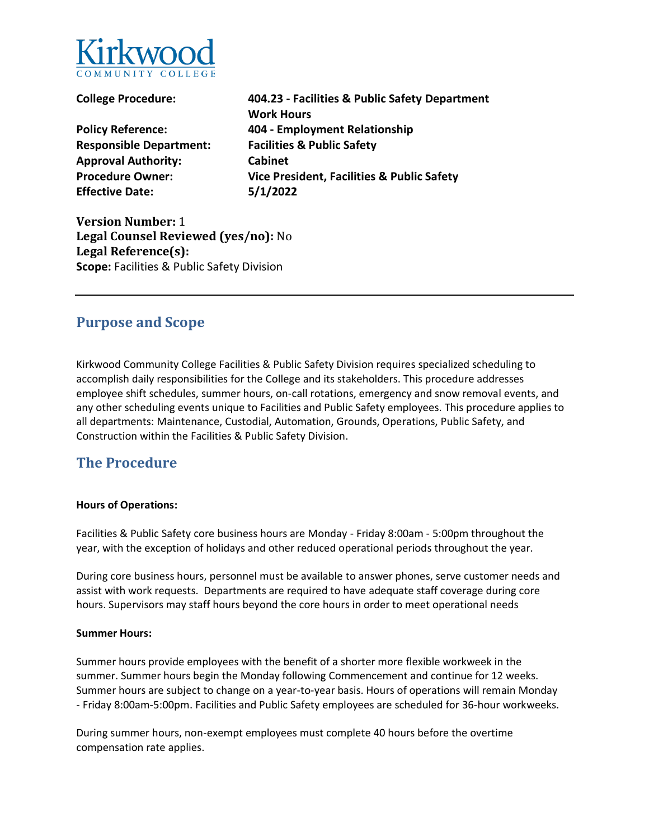

| <b>College Procedure:</b>                                                        | 404.23 - Facilities & Public Safety Department        |  |
|----------------------------------------------------------------------------------|-------------------------------------------------------|--|
|                                                                                  | <b>Work Hours</b>                                     |  |
| <b>Policy Reference:</b>                                                         | 404 - Employment Relationship                         |  |
| <b>Responsible Department:</b>                                                   | <b>Facilities &amp; Public Safety</b>                 |  |
| <b>Approval Authority:</b>                                                       | <b>Cabinet</b>                                        |  |
| <b>Procedure Owner:</b>                                                          | <b>Vice President, Facilities &amp; Public Safety</b> |  |
| <b>Effective Date:</b>                                                           | 5/1/2022                                              |  |
| $\mathbf{V}$ and $\mathbf{V}$ and $\mathbf{V}$ and $\mathbf{V}$ and $\mathbf{V}$ |                                                       |  |

**Version Number:** 1 **Legal Counsel Reviewed (yes/no):** No **Legal Reference(s): Scope:** Facilities & Public Safety Division

## **Purpose and Scope**

Kirkwood Community College Facilities & Public Safety Division requires specialized scheduling to accomplish daily responsibilities for the College and its stakeholders. This procedure addresses employee shift schedules, summer hours, on-call rotations, emergency and snow removal events, and any other scheduling events unique to Facilities and Public Safety employees. This procedure applies to all departments: Maintenance, Custodial, Automation, Grounds, Operations, Public Safety, and Construction within the Facilities & Public Safety Division.

## **The Procedure**

#### **Hours of Operations:**

Facilities & Public Safety core business hours are Monday - Friday 8:00am - 5:00pm throughout the year, with the exception of holidays and other reduced operational periods throughout the year.

During core business hours, personnel must be available to answer phones, serve customer needs and assist with work requests. Departments are required to have adequate staff coverage during core hours. Supervisors may staff hours beyond the core hours in order to meet operational needs

#### **Summer Hours:**

Summer hours provide employees with the benefit of a shorter more flexible workweek in the summer. Summer hours begin the Monday following Commencement and continue for 12 weeks. Summer hours are subject to change on a year-to-year basis. Hours of operations will remain Monday

- Friday 8:00am-5:00pm. Facilities and Public Safety employees are scheduled for 36-hour workweeks.<br>During summer hours, non-exempt employees must complete 40 hours before the overtime compensation rate applies.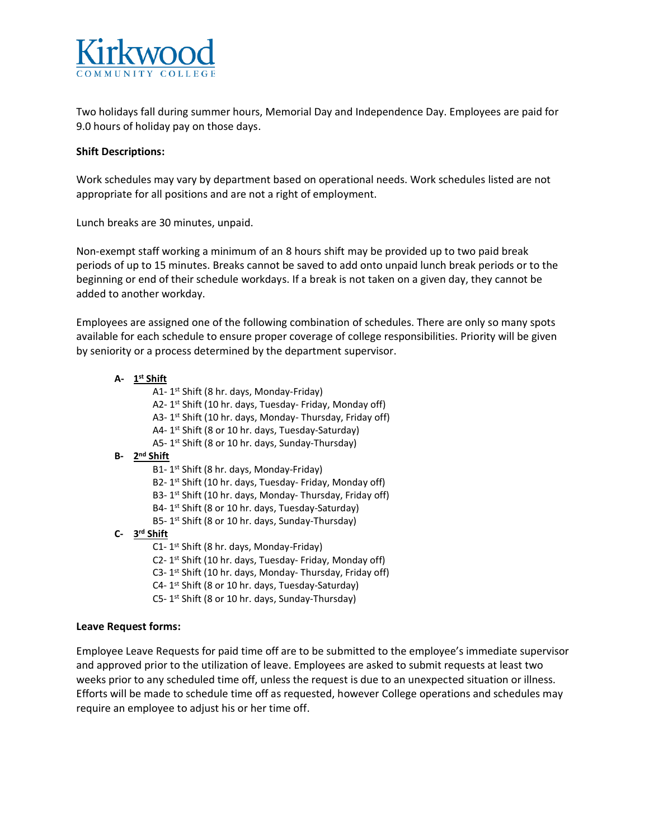

Two holidays fall during summer hours, Memorial Day and Independence Day. Employees are paid for 9.0 hours of holiday pay on those days.

#### **Shift Descriptions:**

Work schedules may vary by department based on operational needs. Work schedules listed are not appropriate for all positions and are not a right of employment.

Lunch breaks are 30 minutes, unpaid.

Non-exempt staff working a minimum of an 8 hours shift may be provided up to two paid break periods of up to 15 minutes. Breaks cannot be saved to add onto unpaid lunch break periods or to the beginning or end of their schedule workdays. If a break is not taken on a given day, they cannot be added to another workday.

Employees are assigned one of the following combination of schedules. There are only so many spots available for each schedule to ensure proper coverage of college responsibilities. Priority will be given by seniority or a process determined by the department supervisor.

#### **A- 1st Shift**

A1- 1st Shift (8 hr. days, Monday-Friday) A2- 1st Shift (10 hr. days, Tuesday- Friday, Monday off) A3- 1st Shift (10 hr. days, Monday- Thursday, Friday off) A4- 1<sup>st</sup> Shift (8 or 10 hr. days, Tuesday-Saturday) A5- 1st Shift (8 or 10 hr. days, Sunday-Thursday)

#### **B- 2nd Shift**

B1- 1st Shift (8 hr. days, Monday-Friday) B2- 1<sup>st</sup> Shift (10 hr. days, Tuesday- Friday, Monday off) B3- 1<sup>st</sup> Shift (10 hr. days, Monday- Thursday, Friday off) B4- 1st Shift (8 or 10 hr. days, Tuesday-Saturday) B5- 1<sup>st</sup> Shift (8 or 10 hr. days, Sunday-Thursday)

#### **C- 3rd Shift**

- C1- 1st Shift (8 hr. days, Monday-Friday)
- C2- 1<sup>st</sup> Shift (10 hr. days, Tuesday- Friday, Monday off)
- C3- 1<sup>st</sup> Shift (10 hr. days, Monday- Thursday, Friday off)
- C4- 1st Shift (8 or 10 hr. days, Tuesday-Saturday)
- C5-  $1<sup>st</sup>$  Shift (8 or 10 hr. days, Sunday-Thursday)

#### **Leave Request forms:**

Employee Leave Requests for paid time off are to be submitted to the employee's immediate supervisor and approved prior to the utilization of leave. Employees are asked to submit requests at least two weeks prior to any scheduled time off, unless the request is due to an unexpected situation or illness. Efforts will be made to schedule time off as requested, however College operations and schedules may require an employee to adjust his or her time off.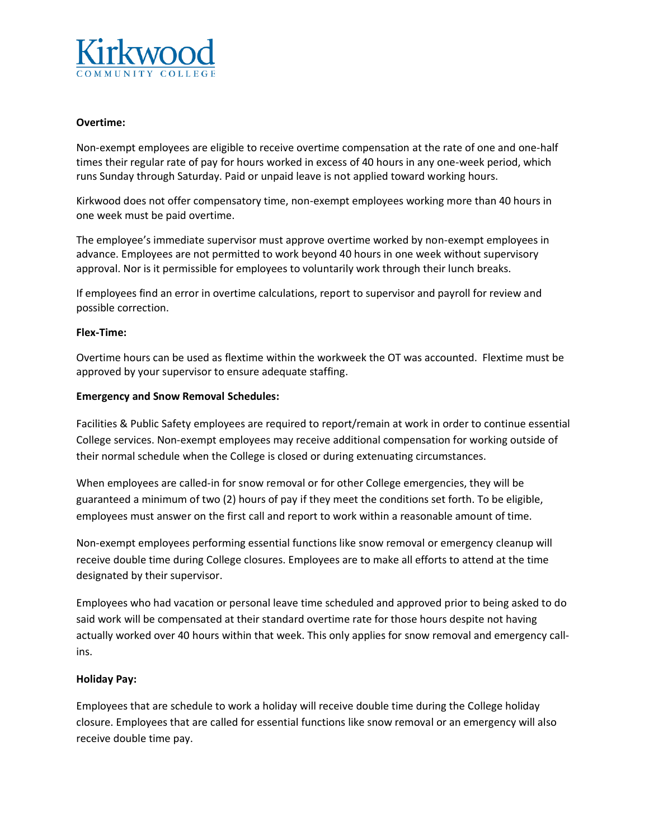

#### **Overtime:**

Non-exempt employees are eligible to receive overtime compensation at the rate of one and one-half times their regular rate of pay for hours worked in excess of 40 hours in any one-week period, which runs Sunday through Saturday. Paid or unpaid leave is not applied toward working hours.

Kirkwood does not offer compensatory time, non-exempt employees working more than 40 hours in one week must be paid overtime.

The employee's immediate supervisor must approve overtime worked by non-exempt employees in advance. Employees are not permitted to work beyond 40 hours in one week without supervisory approval. Nor is it permissible for employees to voluntarily work through their lunch breaks.

If employees find an error in overtime calculations, report to supervisor and payroll for review and possible correction.

#### **Flex-Time:**

Overtime hours can be used as flextime within the workweek the OT was accounted. Flextime must be approved by your supervisor to ensure adequate staffing.

#### **Emergency and Snow Removal Schedules:**

Facilities & Public Safety employees are required to report/remain at work in order to continue essential College services. Non-exempt employees may receive additional compensation for working outside of their normal schedule when the College is closed or during extenuating circumstances.

When employees are called-in for snow removal or for other College emergencies, they will be guaranteed a minimum of two (2) hours of pay if they meet the conditions set forth. To be eligible, employees must answer on the first call and report to work within a reasonable amount of time.

Non-exempt employees performing essential functions like snow removal or emergency cleanup will receive double time during College closures. Employees are to make all efforts to attend at the time designated by their supervisor.

 actually worked over 40 hours within that week. This only applies for snow removal and emergency call- ins. Employees who had vacation or personal leave time scheduled and approved prior to being asked to do said work will be compensated at their standard overtime rate for those hours despite not having

#### **Holiday Pay:**

Employees that are schedule to work a holiday will receive double time during the College holiday closure. Employees that are called for essential functions like snow removal or an emergency will also receive double time pay.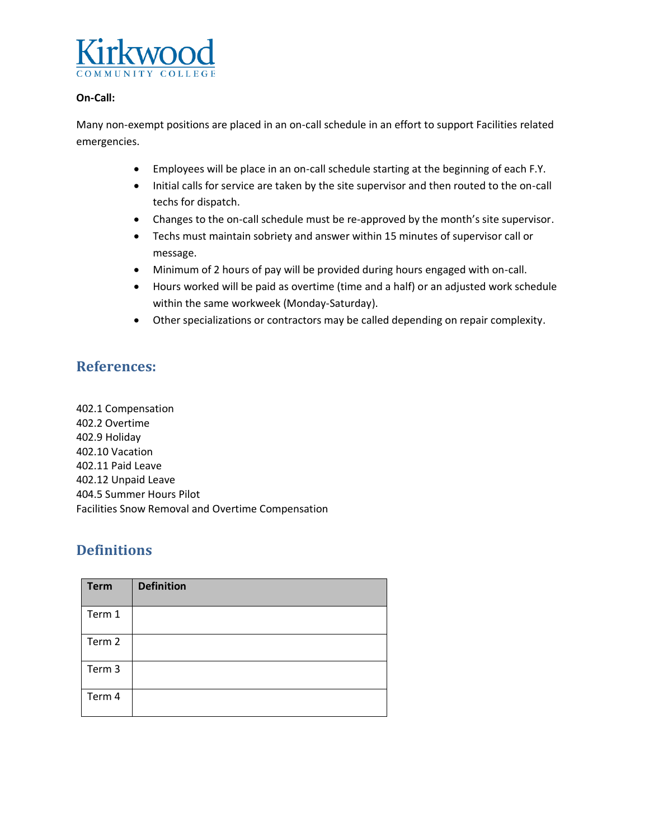

#### **On-Call:**

Many non-exempt positions are placed in an on-call schedule in an effort to support Facilities related emergencies.

- Employees will be place in an on-call schedule starting at the beginning of each F.Y.
- techs for dispatch. • Initial calls for service are taken by the site supervisor and then routed to the on-call
- Changes to the on-call schedule must be re-approved by the month's site supervisor.
- Techs must maintain sobriety and answer within 15 minutes of supervisor call or message.
- Minimum of 2 hours of pay will be provided during hours engaged with on-call.
- within the same workweek (Monday-Saturday). • Hours worked will be paid as overtime (time and a half) or an adjusted work schedule
- Other specializations or contractors may be called depending on repair complexity.

## **References:**

402.1 Compensation 402.2 Overtime 402.9 Holiday 402.10 Vacation 402.11 Paid Leave 402.12 Unpaid Leave 404.5 Summer Hours Pilot Facilities Snow Removal and Overtime Compensation

# **Definitions**

| <b>Term</b> | <b>Definition</b> |
|-------------|-------------------|
| Term 1      |                   |
| Term 2      |                   |
| Term 3      |                   |
| Term 4      |                   |